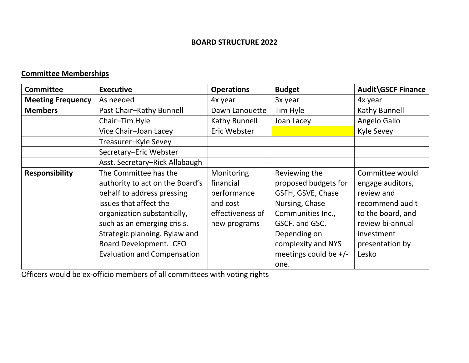## **BOARD STRUCTURE 2022**

## **Committee Memberships**

| <b>Committee</b>         | <b>Executive</b>                   | <b>Operations</b> | <b>Budget</b>           | <b>Audit\GSCF Finance</b> |
|--------------------------|------------------------------------|-------------------|-------------------------|---------------------------|
| <b>Meeting Frequency</b> | As needed                          | 4x year           | 3x year                 | 4x year                   |
| <b>Members</b>           | Past Chair-Kathy Bunnell           | Dawn Lanouette    | Tim Hyle                | Kathy Bunnell             |
|                          | Chair-Tim Hyle                     | Kathy Bunnell     | Joan Lacey              | Angelo Gallo              |
|                          | Vice Chair-Joan Lacey              | Eric Webster      |                         | <b>Kyle Sevey</b>         |
|                          | Treasurer-Kyle Sevey               |                   |                         |                           |
|                          | Secretary-Eric Webster             |                   |                         |                           |
|                          | Asst. Secretary-Rick Allabaugh     |                   |                         |                           |
| <b>Responsibility</b>    | The Committee has the              | Monitoring        | Reviewing the           | Committee would           |
|                          | authority to act on the Board's    | financial         | proposed budgets for    | engage auditors,          |
|                          | behalf to address pressing         | performance       | GSFH, GSVE, Chase       | review and                |
|                          | issues that affect the             | and cost          | Nursing, Chase          | recommend audit           |
|                          | organization substantially,        | effectiveness of  | Communities Inc.,       | to the board, and         |
|                          | such as an emerging crisis.        | new programs      | GSCF, and GSC.          | review bi-annual          |
|                          | Strategic planning. Bylaw and      |                   | Depending on            | investment                |
|                          | Board Development. CEO             |                   | complexity and NYS      | presentation by           |
|                          | <b>Evaluation and Compensation</b> |                   | meetings could be $+/-$ | Lesko                     |
|                          |                                    |                   | one.                    |                           |

Officers would be ex-officio members of all committees with voting rights